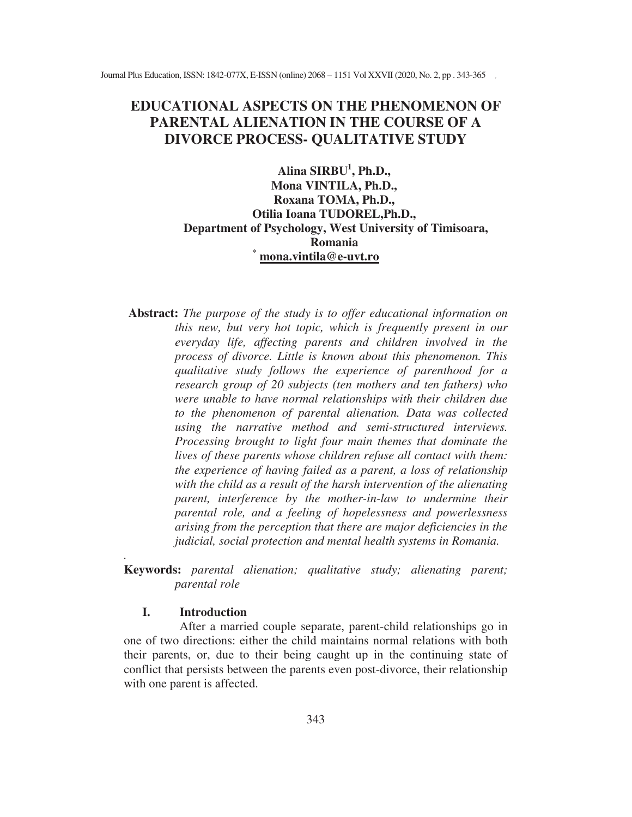# **EDUCATIONAL ASPECTS ON THE PHENOMENON OF PARENTAL ALIENATION IN THE COURSE OF A DIVORCE PROCESS- QUALITATIVE STUDY**

#### **Alina SIRBU<sup>1</sup> , Ph.D., Mona VINTILA, Ph.D., Roxana TOMA, Ph.D., Otilia Ioana TUDOREL,Ph.D., Department of Psychology, West University of Timisoara, Romania \* mona.vintila@e-uvt.ro**

**Abstract:** *The purpose of the study is to offer educational information on this new, but very hot topic, which is frequently present in our everyday life, affecting parents and children involved in the process of divorce. Little is known about this phenomenon. This qualitative study follows the experience of parenthood for a research group of 20 subjects (ten mothers and ten fathers) who were unable to have normal relationships with their children due to the phenomenon of parental alienation. Data was collected using the narrative method and semi-structured interviews. Processing brought to light four main themes that dominate the lives of these parents whose children refuse all contact with them: the experience of having failed as a parent, a loss of relationship with the child as a result of the harsh intervention of the alienating parent, interference by the mother-in-law to undermine their parental role, and a feeling of hopelessness and powerlessness arising from the perception that there are major deficiencies in the judicial, social protection and mental health systems in Romania.* 

**Keywords:** *parental alienation; qualitative study; alienating parent; parental role* 

#### **I. Introduction**

*.* 

After a married couple separate, parent-child relationships go in one of two directions: either the child maintains normal relations with both their parents, or, due to their being caught up in the continuing state of conflict that persists between the parents even post-divorce, their relationship with one parent is affected.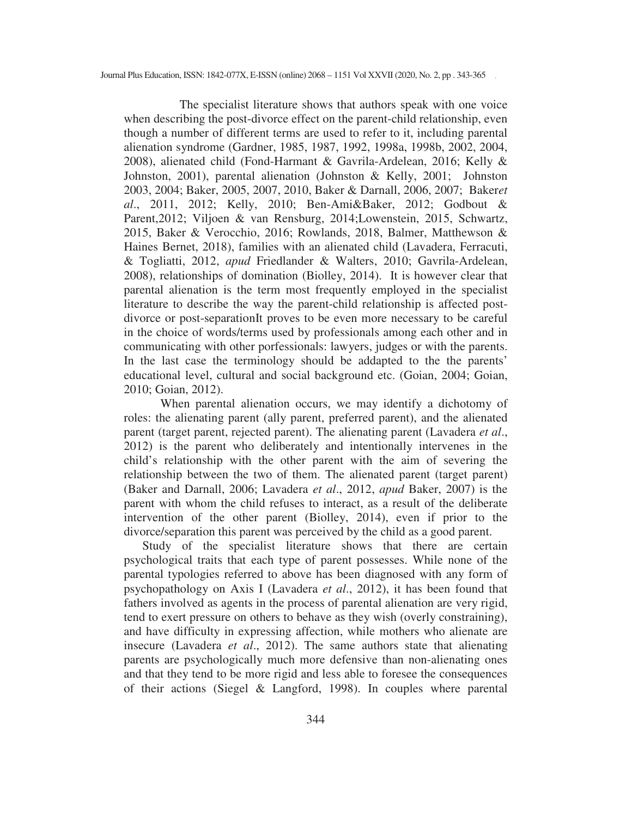The specialist literature shows that authors speak with one voice when describing the post-divorce effect on the parent-child relationship, even though a number of different terms are used to refer to it, including parental alienation syndrome (Gardner, 1985, 1987, 1992, 1998a, 1998b, 2002, 2004, 2008), alienated child (Fond-Harmant & Gavrila-Ardelean, 2016; Kelly & Johnston, 2001), parental alienation (Johnston & Kelly, 2001; Johnston 2003, 2004; Baker, 2005, 2007, 2010, Baker & Darnall, 2006, 2007; Baker*et al*., 2011, 2012; Kelly, 2010; Ben-Ami&Baker, 2012; Godbout & Parent,2012; Viljoen & van Rensburg, 2014;Lowenstein, 2015, Schwartz, 2015, Baker & Verocchio, 2016; Rowlands, 2018, Balmer, Matthewson & Haines Bernet, 2018), families with an alienated child (Lavadera, Ferracuti, & Togliatti, 2012, *apud* Friedlander & Walters, 2010; Gavrila-Ardelean, 2008), relationships of domination (Biolley, 2014). It is however clear that parental alienation is the term most frequently employed in the specialist literature to describe the way the parent-child relationship is affected postdivorce or post-separationIt proves to be even more necessary to be careful in the choice of words/terms used by professionals among each other and in communicating with other porfessionals: lawyers, judges or with the parents. In the last case the terminology should be addapted to the the parents' educational level, cultural and social background etc. (Goian, 2004; Goian, 2010; Goian, 2012).

When parental alienation occurs, we may identify a dichotomy of roles: the alienating parent (ally parent, preferred parent), and the alienated parent (target parent, rejected parent). The alienating parent (Lavadera *et al*., 2012) is the parent who deliberately and intentionally intervenes in the child's relationship with the other parent with the aim of severing the relationship between the two of them. The alienated parent (target parent) (Baker and Darnall, 2006; Lavadera *et al*., 2012, *apud* Baker, 2007) is the parent with whom the child refuses to interact, as a result of the deliberate intervention of the other parent (Biolley, 2014), even if prior to the divorce/separation this parent was perceived by the child as a good parent.

Study of the specialist literature shows that there are certain psychological traits that each type of parent possesses. While none of the parental typologies referred to above has been diagnosed with any form of psychopathology on Axis I (Lavadera *et al*., 2012), it has been found that fathers involved as agents in the process of parental alienation are very rigid, tend to exert pressure on others to behave as they wish (overly constraining), and have difficulty in expressing affection, while mothers who alienate are insecure (Lavadera *et al*., 2012). The same authors state that alienating parents are psychologically much more defensive than non-alienating ones and that they tend to be more rigid and less able to foresee the consequences of their actions (Siegel & Langford, 1998). In couples where parental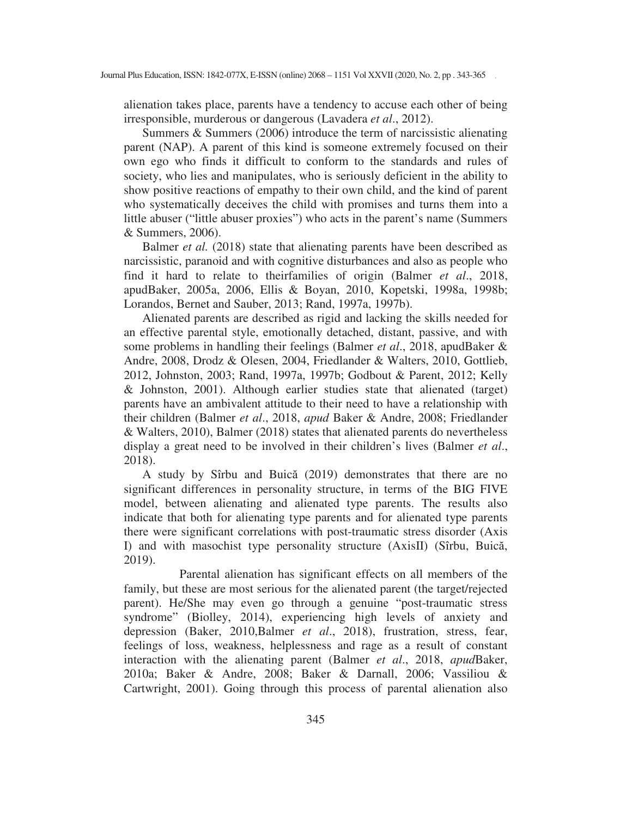alienation takes place, parents have a tendency to accuse each other of being irresponsible, murderous or dangerous (Lavadera *et al*., 2012).

Summers & Summers (2006) introduce the term of narcissistic alienating parent (NAP). A parent of this kind is someone extremely focused on their own ego who finds it difficult to conform to the standards and rules of society, who lies and manipulates, who is seriously deficient in the ability to show positive reactions of empathy to their own child, and the kind of parent who systematically deceives the child with promises and turns them into a little abuser ("little abuser proxies") who acts in the parent's name (Summers & Summers, 2006).

Balmer *et al.* (2018) state that alienating parents have been described as narcissistic, paranoid and with cognitive disturbances and also as people who find it hard to relate to theirfamilies of origin (Balmer *et al*., 2018, apudBaker, 2005a, 2006, Ellis & Boyan, 2010, Kopetski, 1998a, 1998b; Lorandos, Bernet and Sauber, 2013; Rand, 1997a, 1997b).

Alienated parents are described as rigid and lacking the skills needed for an effective parental style, emotionally detached, distant, passive, and with some problems in handling their feelings (Balmer *et al*., 2018, apudBaker & Andre, 2008, Drodz & Olesen, 2004, Friedlander & Walters, 2010, Gottlieb, 2012, Johnston, 2003; Rand, 1997a, 1997b; Godbout & Parent, 2012; Kelly & Johnston, 2001). Although earlier studies state that alienated (target) parents have an ambivalent attitude to their need to have a relationship with their children (Balmer *et al*., 2018, *apud* Baker & Andre, 2008; Friedlander & Walters, 2010), Balmer (2018) states that alienated parents do nevertheless display a great need to be involved in their children's lives (Balmer *et al*., 2018).

A study by Sîrbu and Buică (2019) demonstrates that there are no significant differences in personality structure, in terms of the BIG FIVE model, between alienating and alienated type parents. The results also indicate that both for alienating type parents and for alienated type parents there were significant correlations with post-traumatic stress disorder (Axis I) and with masochist type personality structure (AxisII) (Sîrbu, Buică, 2019).

Parental alienation has significant effects on all members of the family, but these are most serious for the alienated parent (the target/rejected parent). He/She may even go through a genuine "post-traumatic stress syndrome" (Biolley, 2014), experiencing high levels of anxiety and depression (Baker, 2010,Balmer *et al*., 2018), frustration, stress, fear, feelings of loss, weakness, helplessness and rage as a result of constant interaction with the alienating parent (Balmer *et al*., 2018, *apud*Baker, 2010a; Baker & Andre, 2008; Baker & Darnall, 2006; Vassiliou & Cartwright, 2001). Going through this process of parental alienation also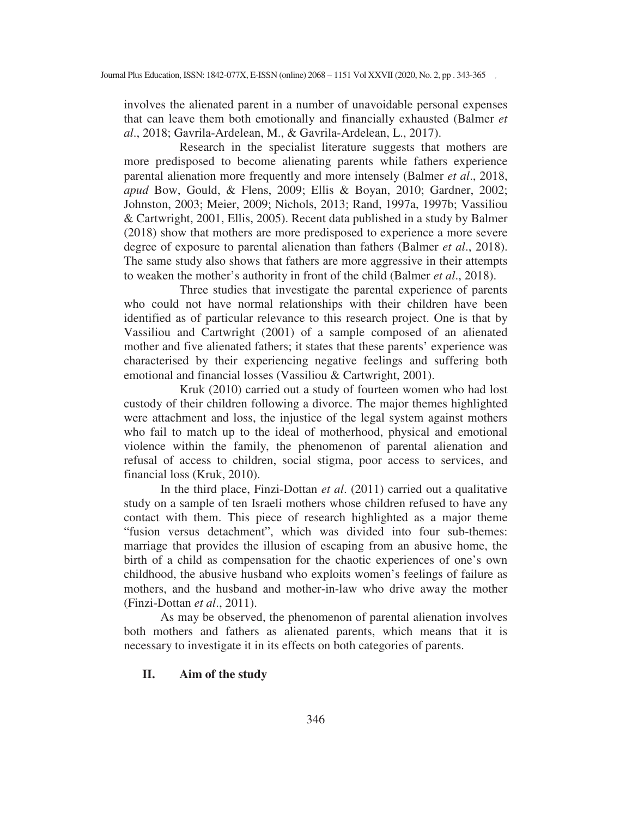involves the alienated parent in a number of unavoidable personal expenses that can leave them both emotionally and financially exhausted (Balmer *et al*., 2018; Gavrila-Ardelean, M., & Gavrila-Ardelean, L., 2017).

Research in the specialist literature suggests that mothers are more predisposed to become alienating parents while fathers experience parental alienation more frequently and more intensely (Balmer *et al*., 2018, *apud* Bow, Gould, & Flens, 2009; Ellis & Boyan, 2010; Gardner, 2002; Johnston, 2003; Meier, 2009; Nichols, 2013; Rand, 1997a, 1997b; Vassiliou & Cartwright, 2001, Ellis, 2005). Recent data published in a study by Balmer (2018) show that mothers are more predisposed to experience a more severe degree of exposure to parental alienation than fathers (Balmer *et al*., 2018). The same study also shows that fathers are more aggressive in their attempts to weaken the mother's authority in front of the child (Balmer *et al*., 2018).

Three studies that investigate the parental experience of parents who could not have normal relationships with their children have been identified as of particular relevance to this research project. One is that by Vassiliou and Cartwright (2001) of a sample composed of an alienated mother and five alienated fathers; it states that these parents' experience was characterised by their experiencing negative feelings and suffering both emotional and financial losses (Vassiliou & Cartwright, 2001).

Kruk (2010) carried out a study of fourteen women who had lost custody of their children following a divorce. The major themes highlighted were attachment and loss, the injustice of the legal system against mothers who fail to match up to the ideal of motherhood, physical and emotional violence within the family, the phenomenon of parental alienation and refusal of access to children, social stigma, poor access to services, and financial loss (Kruk, 2010).

In the third place, Finzi-Dottan *et al*. (2011) carried out a qualitative study on a sample of ten Israeli mothers whose children refused to have any contact with them. This piece of research highlighted as a major theme "fusion versus detachment", which was divided into four sub-themes: marriage that provides the illusion of escaping from an abusive home, the birth of a child as compensation for the chaotic experiences of one's own childhood, the abusive husband who exploits women's feelings of failure as mothers, and the husband and mother-in-law who drive away the mother (Finzi-Dottan *et al*., 2011).

As may be observed, the phenomenon of parental alienation involves both mothers and fathers as alienated parents, which means that it is necessary to investigate it in its effects on both categories of parents.

#### **II. Aim of the study**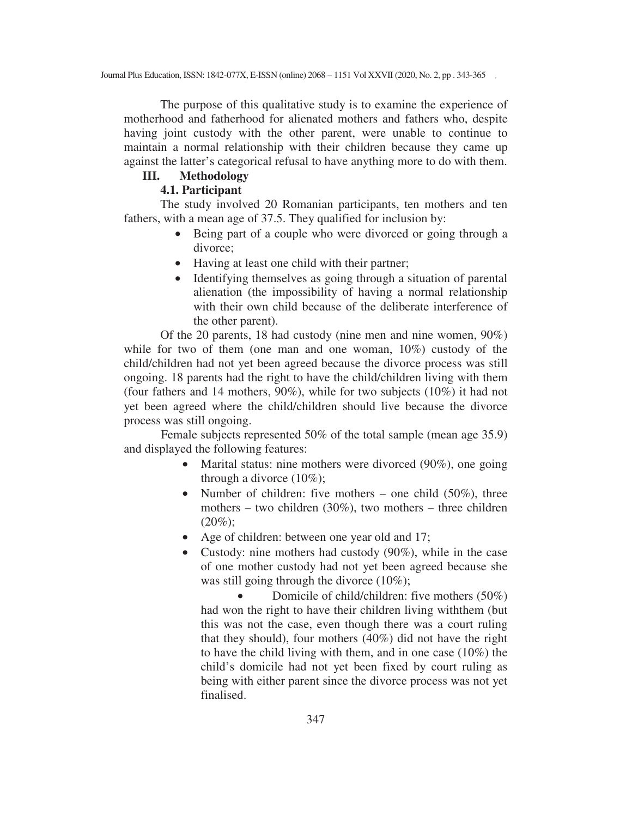The purpose of this qualitative study is to examine the experience of motherhood and fatherhood for alienated mothers and fathers who, despite having joint custody with the other parent, were unable to continue to maintain a normal relationship with their children because they came up against the latter's categorical refusal to have anything more to do with them.

## **III. Methodology**

## **4.1. Participant**

The study involved 20 Romanian participants, ten mothers and ten fathers, with a mean age of 37.5. They qualified for inclusion by:

- Being part of a couple who were divorced or going through a divorce;
- Having at least one child with their partner;
- Identifying themselves as going through a situation of parental alienation (the impossibility of having a normal relationship with their own child because of the deliberate interference of the other parent).

Of the 20 parents, 18 had custody (nine men and nine women, 90%) while for two of them (one man and one woman, 10%) custody of the child/children had not yet been agreed because the divorce process was still ongoing. 18 parents had the right to have the child/children living with them (four fathers and 14 mothers, 90%), while for two subjects (10%) it had not yet been agreed where the child/children should live because the divorce process was still ongoing.

 Female subjects represented 50% of the total sample (mean age 35.9) and displayed the following features:

- Marital status: nine mothers were divorced (90%), one going through a divorce  $(10\%)$ ;
- Number of children: five mothers one child  $(50\%)$ , three mothers – two children (30%), two mothers – three children  $(20\%);$
- Age of children: between one year old and 17;
- Custody: nine mothers had custody (90%), while in the case of one mother custody had not yet been agreed because she was still going through the divorce  $(10\%)$ ;

• Domicile of child/children: five mothers (50%) had won the right to have their children living withthem (but this was not the case, even though there was a court ruling that they should), four mothers (40%) did not have the right to have the child living with them, and in one case (10%) the child's domicile had not yet been fixed by court ruling as being with either parent since the divorce process was not yet finalised.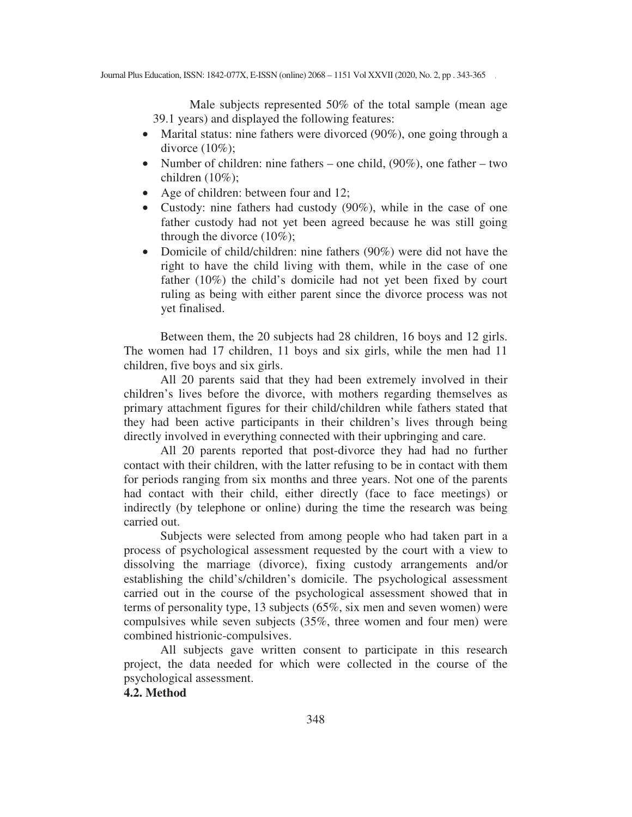Male subjects represented 50% of the total sample (mean age 39.1 years) and displayed the following features:

- Marital status: nine fathers were divorced (90%), one going through a divorce  $(10\%)$ ;
- Number of children: nine fathers one child,  $(90\%)$ , one father two children (10%);
- Age of children: between four and 12;
- Custody: nine fathers had custody (90%), while in the case of one father custody had not yet been agreed because he was still going through the divorce  $(10\%)$ ;
- Domicile of child/children: nine fathers (90%) were did not have the right to have the child living with them, while in the case of one father (10%) the child's domicile had not yet been fixed by court ruling as being with either parent since the divorce process was not yet finalised.

Between them, the 20 subjects had 28 children, 16 boys and 12 girls. The women had 17 children, 11 boys and six girls, while the men had 11 children, five boys and six girls.

All 20 parents said that they had been extremely involved in their children's lives before the divorce, with mothers regarding themselves as primary attachment figures for their child/children while fathers stated that they had been active participants in their children's lives through being directly involved in everything connected with their upbringing and care.

All 20 parents reported that post-divorce they had had no further contact with their children, with the latter refusing to be in contact with them for periods ranging from six months and three years. Not one of the parents had contact with their child, either directly (face to face meetings) or indirectly (by telephone or online) during the time the research was being carried out.

Subjects were selected from among people who had taken part in a process of psychological assessment requested by the court with a view to dissolving the marriage (divorce), fixing custody arrangements and/or establishing the child's/children's domicile. The psychological assessment carried out in the course of the psychological assessment showed that in terms of personality type, 13 subjects (65%, six men and seven women) were compulsives while seven subjects (35%, three women and four men) were combined histrionic-compulsives.

All subjects gave written consent to participate in this research project, the data needed for which were collected in the course of the psychological assessment.

## **4.2. Method**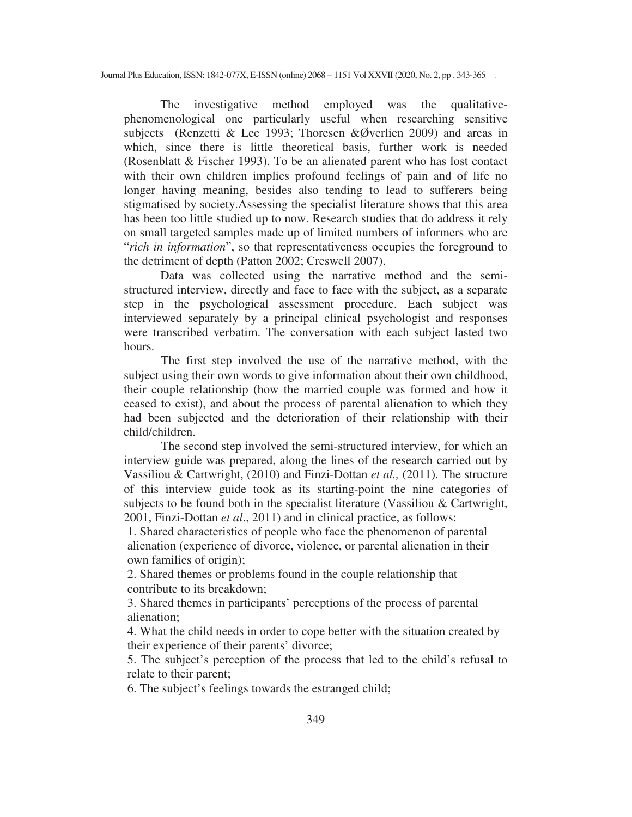The investigative method employed was the qualitativephenomenological one particularly useful when researching sensitive subjects (Renzetti & Lee 1993; Thoresen &Øverlien 2009) and areas in which, since there is little theoretical basis, further work is needed (Rosenblatt & Fischer 1993). To be an alienated parent who has lost contact with their own children implies profound feelings of pain and of life no longer having meaning, besides also tending to lead to sufferers being stigmatised by society.Assessing the specialist literature shows that this area has been too little studied up to now. Research studies that do address it rely on small targeted samples made up of limited numbers of informers who are "*rich in information*", so that representativeness occupies the foreground to the detriment of depth (Patton 2002; Creswell 2007).

Data was collected using the narrative method and the semistructured interview, directly and face to face with the subject, as a separate step in the psychological assessment procedure. Each subject was interviewed separately by a principal clinical psychologist and responses were transcribed verbatim. The conversation with each subject lasted two hours.

 The first step involved the use of the narrative method, with the subject using their own words to give information about their own childhood, their couple relationship (how the married couple was formed and how it ceased to exist), and about the process of parental alienation to which they had been subjected and the deterioration of their relationship with their child/children.

 The second step involved the semi-structured interview, for which an interview guide was prepared, along the lines of the research carried out by Vassiliou & Cartwright, (2010) and Finzi-Dottan *et al.,* (2011). The structure of this interview guide took as its starting-point the nine categories of subjects to be found both in the specialist literature (Vassiliou & Cartwright, 2001, Finzi-Dottan *et al*., 2011) and in clinical practice, as follows:

1. Shared characteristics of people who face the phenomenon of parental alienation (experience of divorce, violence, or parental alienation in their own families of origin);

2. Shared themes or problems found in the couple relationship that contribute to its breakdown;

3. Shared themes in participants' perceptions of the process of parental alienation;

4. What the child needs in order to cope better with the situation created by their experience of their parents' divorce;

5. The subject's perception of the process that led to the child's refusal to relate to their parent;

6. The subject's feelings towards the estranged child;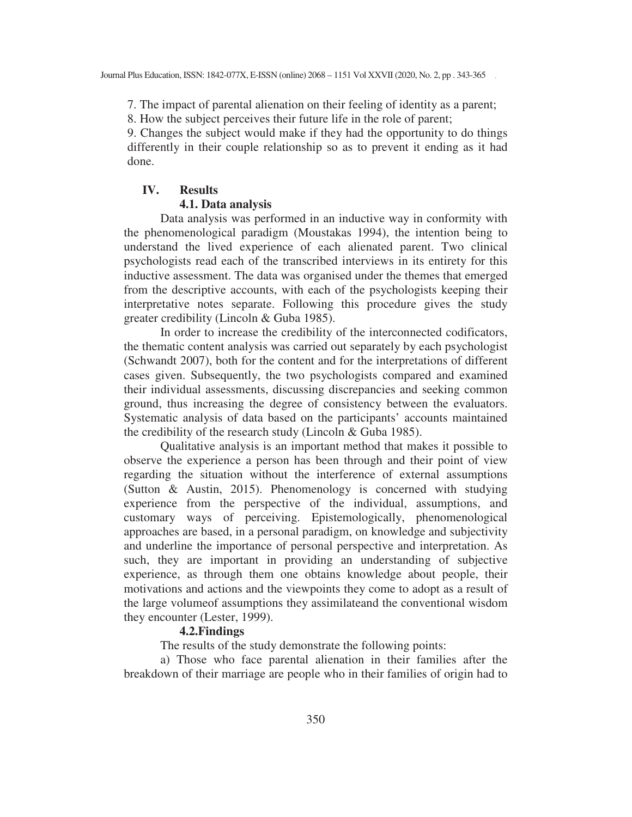7. The impact of parental alienation on their feeling of identity as a parent;

8. How the subject perceives their future life in the role of parent;

9. Changes the subject would make if they had the opportunity to do things differently in their couple relationship so as to prevent it ending as it had done.

## **IV. Results**

#### **4.1. Data analysis**

Data analysis was performed in an inductive way in conformity with the phenomenological paradigm (Moustakas 1994), the intention being to understand the lived experience of each alienated parent. Two clinical psychologists read each of the transcribed interviews in its entirety for this inductive assessment. The data was organised under the themes that emerged from the descriptive accounts, with each of the psychologists keeping their interpretative notes separate. Following this procedure gives the study greater credibility (Lincoln & Guba 1985).

In order to increase the credibility of the interconnected codificators, the thematic content analysis was carried out separately by each psychologist (Schwandt 2007), both for the content and for the interpretations of different cases given. Subsequently, the two psychologists compared and examined their individual assessments, discussing discrepancies and seeking common ground, thus increasing the degree of consistency between the evaluators. Systematic analysis of data based on the participants' accounts maintained the credibility of the research study (Lincoln & Guba 1985).

Qualitative analysis is an important method that makes it possible to observe the experience a person has been through and their point of view regarding the situation without the interference of external assumptions (Sutton & Austin, 2015). Phenomenology is concerned with studying experience from the perspective of the individual, assumptions, and customary ways of perceiving. Epistemologically, phenomenological approaches are based, in a personal paradigm, on knowledge and subjectivity and underline the importance of personal perspective and interpretation. As such, they are important in providing an understanding of subjective experience, as through them one obtains knowledge about people, their motivations and actions and the viewpoints they come to adopt as a result of the large volumeof assumptions they assimilateand the conventional wisdom they encounter (Lester, 1999).

#### **4.2.Findings**

The results of the study demonstrate the following points:

a) Those who face parental alienation in their families after the breakdown of their marriage are people who in their families of origin had to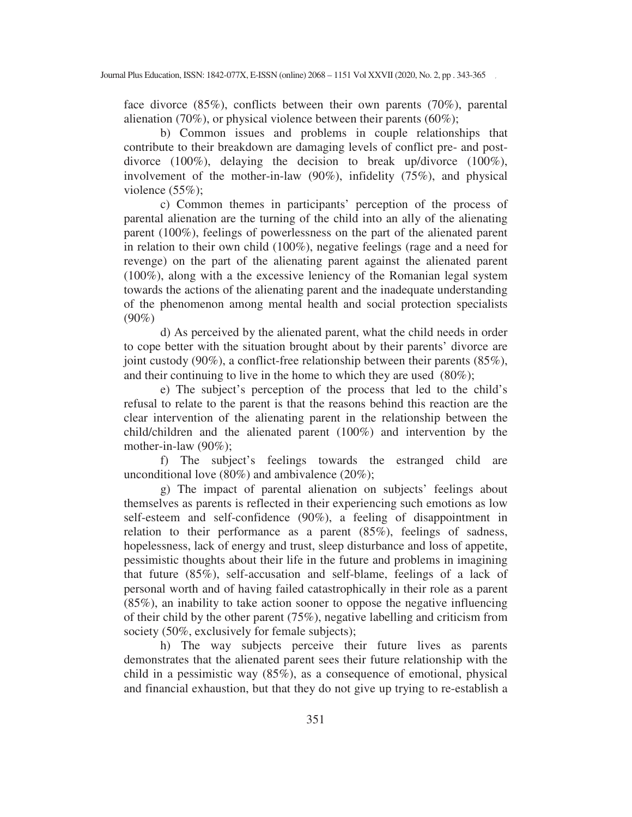face divorce (85%), conflicts between their own parents (70%), parental alienation (70%), or physical violence between their parents (60%);

b) Common issues and problems in couple relationships that contribute to their breakdown are damaging levels of conflict pre- and postdivorce (100%), delaying the decision to break up/divorce (100%), involvement of the mother-in-law (90%), infidelity (75%), and physical violence  $(55\%)$ ;

c) Common themes in participants' perception of the process of parental alienation are the turning of the child into an ally of the alienating parent (100%), feelings of powerlessness on the part of the alienated parent in relation to their own child (100%), negative feelings (rage and a need for revenge) on the part of the alienating parent against the alienated parent (100%), along with a the excessive leniency of the Romanian legal system towards the actions of the alienating parent and the inadequate understanding of the phenomenon among mental health and social protection specialists  $(90\%)$ 

d) As perceived by the alienated parent, what the child needs in order to cope better with the situation brought about by their parents' divorce are joint custody (90%), a conflict-free relationship between their parents (85%), and their continuing to live in the home to which they are used (80%);

e) The subject's perception of the process that led to the child's refusal to relate to the parent is that the reasons behind this reaction are the clear intervention of the alienating parent in the relationship between the child/children and the alienated parent (100%) and intervention by the mother-in-law (90%);

f) The subject's feelings towards the estranged child are unconditional love (80%) and ambivalence (20%);

g) The impact of parental alienation on subjects' feelings about themselves as parents is reflected in their experiencing such emotions as low self-esteem and self-confidence (90%), a feeling of disappointment in relation to their performance as a parent (85%), feelings of sadness, hopelessness, lack of energy and trust, sleep disturbance and loss of appetite, pessimistic thoughts about their life in the future and problems in imagining that future (85%), self-accusation and self-blame, feelings of a lack of personal worth and of having failed catastrophically in their role as a parent (85%), an inability to take action sooner to oppose the negative influencing of their child by the other parent (75%), negative labelling and criticism from society (50%, exclusively for female subjects);

h) The way subjects perceive their future lives as parents demonstrates that the alienated parent sees their future relationship with the child in a pessimistic way (85%), as a consequence of emotional, physical and financial exhaustion, but that they do not give up trying to re-establish a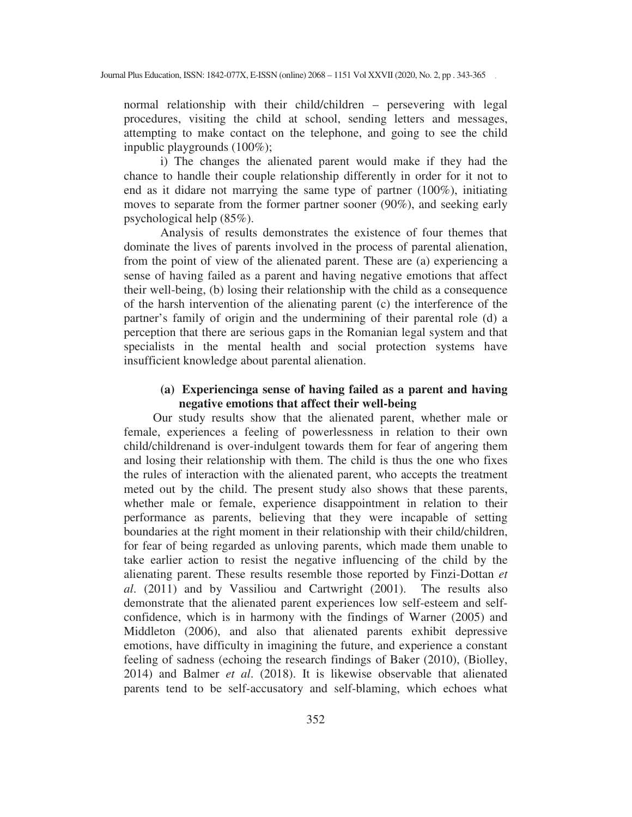normal relationship with their child/children – persevering with legal procedures, visiting the child at school, sending letters and messages, attempting to make contact on the telephone, and going to see the child inpublic playgrounds (100%);

i) The changes the alienated parent would make if they had the chance to handle their couple relationship differently in order for it not to end as it didare not marrying the same type of partner (100%), initiating moves to separate from the former partner sooner (90%), and seeking early psychological help (85%).

Analysis of results demonstrates the existence of four themes that dominate the lives of parents involved in the process of parental alienation, from the point of view of the alienated parent. These are (a) experiencing a sense of having failed as a parent and having negative emotions that affect their well-being, (b) losing their relationship with the child as a consequence of the harsh intervention of the alienating parent (c) the interference of the partner's family of origin and the undermining of their parental role (d) a perception that there are serious gaps in the Romanian legal system and that specialists in the mental health and social protection systems have insufficient knowledge about parental alienation.

#### **(a) Experiencinga sense of having failed as a parent and having negative emotions that affect their well-being**

Our study results show that the alienated parent, whether male or female, experiences a feeling of powerlessness in relation to their own child/childrenand is over-indulgent towards them for fear of angering them and losing their relationship with them. The child is thus the one who fixes the rules of interaction with the alienated parent, who accepts the treatment meted out by the child. The present study also shows that these parents, whether male or female, experience disappointment in relation to their performance as parents, believing that they were incapable of setting boundaries at the right moment in their relationship with their child/children, for fear of being regarded as unloving parents, which made them unable to take earlier action to resist the negative influencing of the child by the alienating parent. These results resemble those reported by Finzi-Dottan *et al*. (2011) and by Vassiliou and Cartwright (2001). The results also demonstrate that the alienated parent experiences low self-esteem and selfconfidence, which is in harmony with the findings of Warner (2005) and Middleton (2006), and also that alienated parents exhibit depressive emotions, have difficulty in imagining the future, and experience a constant feeling of sadness (echoing the research findings of Baker (2010), (Biolley, 2014) and Balmer *et al*. (2018). It is likewise observable that alienated parents tend to be self-accusatory and self-blaming, which echoes what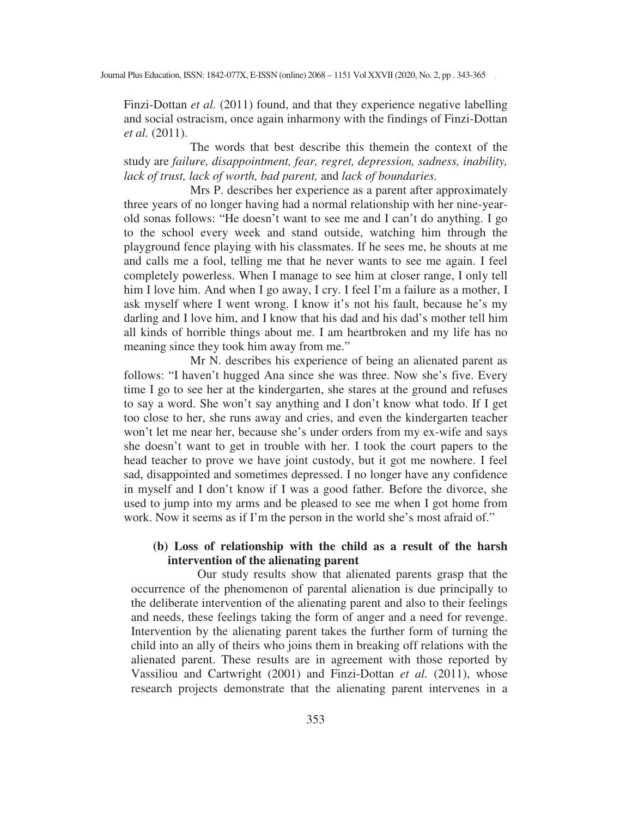Finzi-Dottan *et al.* (2011) found, and that they experience negative labelling and social ostracism, once again inharmony with the findings of Finzi-Dottan *et al.* (2011).

The words that best describe this themein the context of the study are *failure, disappointment, fear, regret, depression, sadness, inability, lack of trust, lack of worth, bad parent,* and *lack of boundaries.* 

Mrs P. describes her experience as a parent after approximately three years of no longer having had a normal relationship with her nine-yearold sonas follows: "He doesn't want to see me and I can't do anything. I go to the school every week and stand outside, watching him through the playground fence playing with his classmates. If he sees me, he shouts at me and calls me a fool, telling me that he never wants to see me again. I feel completely powerless. When I manage to see him at closer range, I only tell him I love him. And when I go away, I cry. I feel I'm a failure as a mother, I ask myself where I went wrong. I know it's not his fault, because he's my darling and I love him, and I know that his dad and his dad's mother tell him all kinds of horrible things about me. I am heartbroken and my life has no meaning since they took him away from me."

Mr N. describes his experience of being an alienated parent as follows: "I haven't hugged Ana since she was three. Now she's five. Every time I go to see her at the kindergarten, she stares at the ground and refuses to say a word. She won't say anything and I don't know what todo. If I get too close to her, she runs away and cries, and even the kindergarten teacher won't let me near her, because she's under orders from my ex-wife and says she doesn't want to get in trouble with her. I took the court papers to the head teacher to prove we have joint custody, but it got me nowhere. I feel sad, disappointed and sometimes depressed. I no longer have any confidence in myself and I don't know if I was a good father. Before the divorce, she used to jump into my arms and be pleased to see me when I got home from work. Now it seems as if I'm the person in the world she's most afraid of."

## **(b) Loss of relationship with the child as a result of the harsh intervention of the alienating parent**

Our study results show that alienated parents grasp that the occurrence of the phenomenon of parental alienation is due principally to the deliberate intervention of the alienating parent and also to their feelings and needs, these feelings taking the form of anger and a need for revenge. Intervention by the alienating parent takes the further form of turning the child into an ally of theirs who joins them in breaking off relations with the alienated parent. These results are in agreement with those reported by Vassiliou and Cartwright (2001) and Finzi-Dottan *et al.* (2011), whose research projects demonstrate that the alienating parent intervenes in a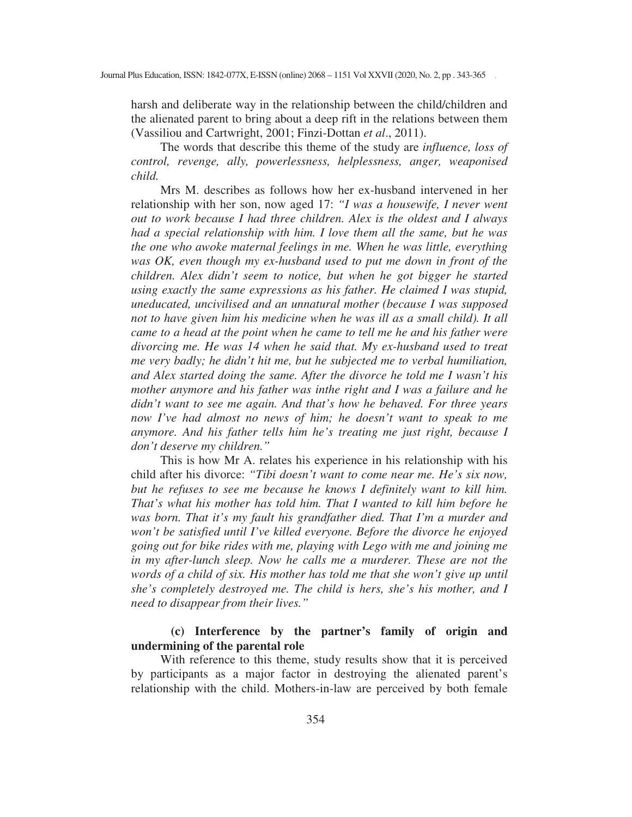harsh and deliberate way in the relationship between the child/children and the alienated parent to bring about a deep rift in the relations between them (Vassiliou and Cartwright, 2001; Finzi-Dottan *et al*., 2011).

The words that describe this theme of the study are *influence, loss of control, revenge, ally, powerlessness, helplessness, anger, weaponised child.* 

Mrs M. describes as follows how her ex-husband intervened in her relationship with her son, now aged 17: *"I was a housewife, I never went out to work because I had three children. Alex is the oldest and I always had a special relationship with him. I love them all the same, but he was the one who awoke maternal feelings in me. When he was little, everything was OK, even though my ex-husband used to put me down in front of the children. Alex didn't seem to notice, but when he got bigger he started using exactly the same expressions as his father. He claimed I was stupid, uneducated, uncivilised and an unnatural mother (because I was supposed*  not to have given him his medicine when he was ill as a small child). It all *came to a head at the point when he came to tell me he and his father were divorcing me. He was 14 when he said that. My ex-husband used to treat me very badly; he didn't hit me, but he subjected me to verbal humiliation, and Alex started doing the same. After the divorce he told me I wasn't his mother anymore and his father was inthe right and I was a failure and he didn't want to see me again. And that's how he behaved. For three years now I've had almost no news of him; he doesn't want to speak to me anymore. And his father tells him he's treating me just right, because I don't deserve my children."*

This is how Mr A. relates his experience in his relationship with his child after his divorce: *"Tibi doesn't want to come near me. He's six now, but he refuses to see me because he knows I definitely want to kill him. That's what his mother has told him. That I wanted to kill him before he was born. That it's my fault his grandfather died. That I'm a murder and won't be satisfied until I've killed everyone. Before the divorce he enjoyed going out for bike rides with me, playing with Lego with me and joining me in my after-lunch sleep. Now he calls me a murderer. These are not the words of a child of six. His mother has told me that she won't give up until she's completely destroyed me. The child is hers, she's his mother, and I need to disappear from their lives."* 

## **(c) Interference by the partner's family of origin and undermining of the parental role**

With reference to this theme, study results show that it is perceived by participants as a major factor in destroying the alienated parent's relationship with the child. Mothers-in-law are perceived by both female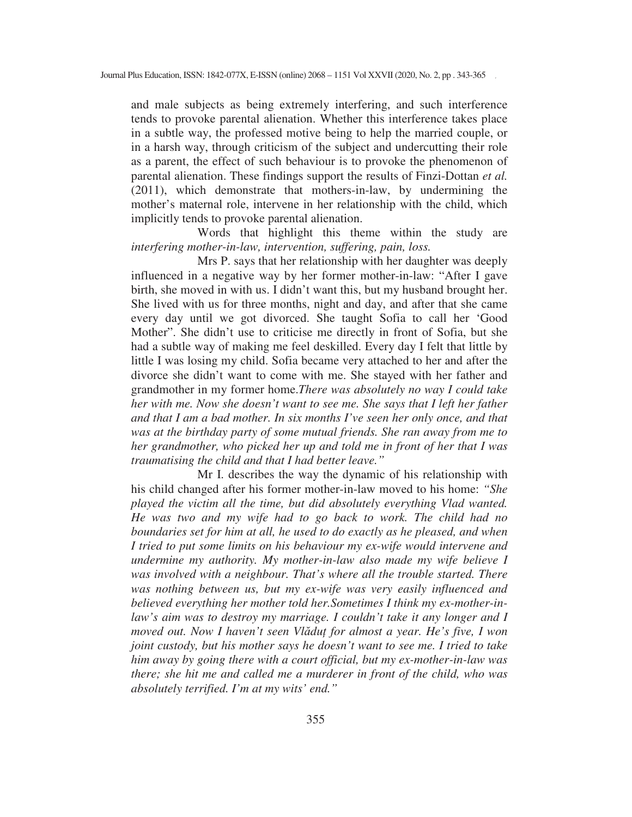and male subjects as being extremely interfering, and such interference tends to provoke parental alienation. Whether this interference takes place in a subtle way, the professed motive being to help the married couple, or in a harsh way, through criticism of the subject and undercutting their role as a parent, the effect of such behaviour is to provoke the phenomenon of parental alienation. These findings support the results of Finzi-Dottan *et al.* (2011), which demonstrate that mothers-in-law, by undermining the mother's maternal role, intervene in her relationship with the child, which implicitly tends to provoke parental alienation.

Words that highlight this theme within the study are *interfering mother-in-law, intervention, suffering, pain, loss.* 

Mrs P. says that her relationship with her daughter was deeply influenced in a negative way by her former mother-in-law: "After I gave birth, she moved in with us. I didn't want this, but my husband brought her. She lived with us for three months, night and day, and after that she came every day until we got divorced. She taught Sofia to call her 'Good Mother". She didn't use to criticise me directly in front of Sofia, but she had a subtle way of making me feel deskilled. Every day I felt that little by little I was losing my child. Sofia became very attached to her and after the divorce she didn't want to come with me. She stayed with her father and grandmother in my former home.*There was absolutely no way I could take her with me. Now she doesn't want to see me. She says that I left her father and that I am a bad mother. In six months I've seen her only once, and that was at the birthday party of some mutual friends. She ran away from me to her grandmother, who picked her up and told me in front of her that I was traumatising the child and that I had better leave."* 

Mr I. describes the way the dynamic of his relationship with his child changed after his former mother-in-law moved to his home: *"She played the victim all the time, but did absolutely everything Vlad wanted. He was two and my wife had to go back to work. The child had no boundaries set for him at all, he used to do exactly as he pleased, and when I tried to put some limits on his behaviour my ex-wife would intervene and undermine my authority. My mother-in-law also made my wife believe I was involved with a neighbour. That's where all the trouble started. There was nothing between us, but my ex-wife was very easily influenced and believed everything her mother told her.Sometimes I think my ex-mother-inlaw's aim was to destroy my marriage. I couldn't take it any longer and I moved out. Now I haven't seen Vl-du for almost a year. He's five, I won joint custody, but his mother says he doesn't want to see me. I tried to take him away by going there with a court official, but my ex-mother-in-law was there; she hit me and called me a murderer in front of the child, who was absolutely terrified. I'm at my wits' end."*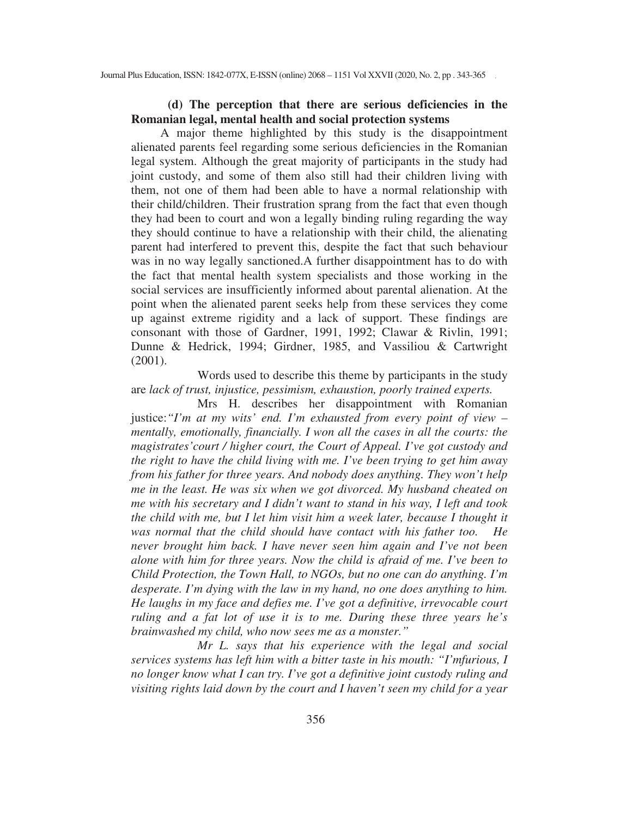## **(d) The perception that there are serious deficiencies in the Romanian legal, mental health and social protection systems**

A major theme highlighted by this study is the disappointment alienated parents feel regarding some serious deficiencies in the Romanian legal system. Although the great majority of participants in the study had joint custody, and some of them also still had their children living with them, not one of them had been able to have a normal relationship with their child/children. Their frustration sprang from the fact that even though they had been to court and won a legally binding ruling regarding the way they should continue to have a relationship with their child, the alienating parent had interfered to prevent this, despite the fact that such behaviour was in no way legally sanctioned.A further disappointment has to do with the fact that mental health system specialists and those working in the social services are insufficiently informed about parental alienation. At the point when the alienated parent seeks help from these services they come up against extreme rigidity and a lack of support. These findings are consonant with those of Gardner, 1991, 1992; Clawar & Rivlin, 1991; Dunne & Hedrick, 1994; Girdner, 1985, and Vassiliou & Cartwright (2001).

Words used to describe this theme by participants in the study are *lack of trust, injustice, pessimism, exhaustion, poorly trained experts.* 

Mrs H. describes her disappointment with Romanian justice:*"I'm at my wits' end. I'm exhausted from every point of view – mentally, emotionally, financially. I won all the cases in all the courts: the magistrates'court / higher court, the Court of Appeal. I've got custody and the right to have the child living with me. I've been trying to get him away from his father for three years. And nobody does anything. They won't help me in the least. He was six when we got divorced. My husband cheated on me with his secretary and I didn't want to stand in his way, I left and took the child with me, but I let him visit him a week later, because I thought it was normal that the child should have contact with his father too. He never brought him back. I have never seen him again and I've not been alone with him for three years. Now the child is afraid of me. I've been to Child Protection, the Town Hall, to NGOs, but no one can do anything. I'm desperate. I'm dying with the law in my hand, no one does anything to him. He laughs in my face and defies me. I've got a definitive, irrevocable court ruling and a fat lot of use it is to me. During these three years he's brainwashed my child, who now sees me as a monster."* 

*Mr L. says that his experience with the legal and social services systems has left him with a bitter taste in his mouth: "I'mfurious, I no longer know what I can try. I've got a definitive joint custody ruling and visiting rights laid down by the court and I haven't seen my child for a year*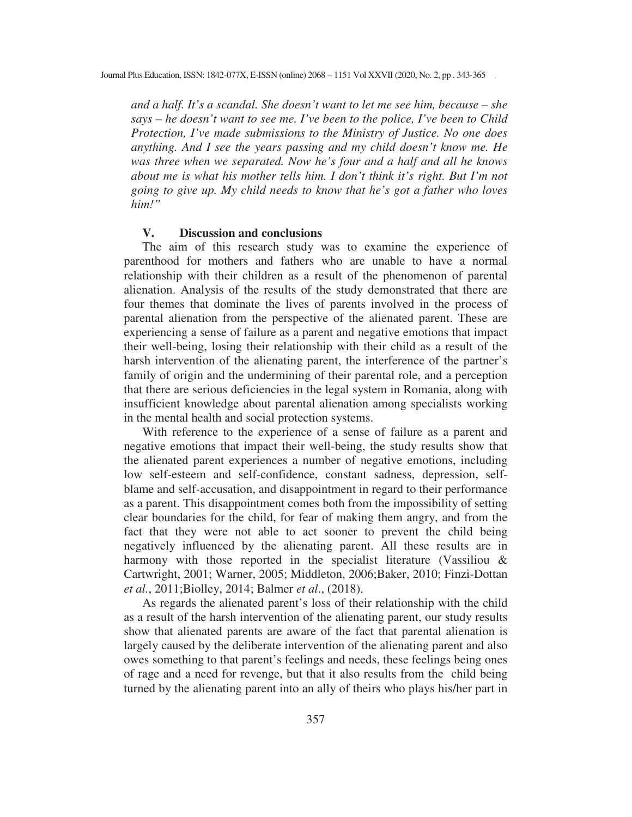*and a half. It's a scandal. She doesn't want to let me see him, because – she says – he doesn't want to see me. I've been to the police, I've been to Child Protection, I've made submissions to the Ministry of Justice. No one does anything. And I see the years passing and my child doesn't know me. He was three when we separated. Now he's four and a half and all he knows about me is what his mother tells him. I don't think it's right. But I'm not going to give up. My child needs to know that he's got a father who loves him!"* 

#### **V. Discussion and conclusions**

The aim of this research study was to examine the experience of parenthood for mothers and fathers who are unable to have a normal relationship with their children as a result of the phenomenon of parental alienation. Analysis of the results of the study demonstrated that there are four themes that dominate the lives of parents involved in the process of parental alienation from the perspective of the alienated parent. These are experiencing a sense of failure as a parent and negative emotions that impact their well-being, losing their relationship with their child as a result of the harsh intervention of the alienating parent, the interference of the partner's family of origin and the undermining of their parental role, and a perception that there are serious deficiencies in the legal system in Romania, along with insufficient knowledge about parental alienation among specialists working in the mental health and social protection systems.

With reference to the experience of a sense of failure as a parent and negative emotions that impact their well-being, the study results show that the alienated parent experiences a number of negative emotions, including low self-esteem and self-confidence, constant sadness, depression, selfblame and self-accusation, and disappointment in regard to their performance as a parent. This disappointment comes both from the impossibility of setting clear boundaries for the child, for fear of making them angry, and from the fact that they were not able to act sooner to prevent the child being negatively influenced by the alienating parent. All these results are in harmony with those reported in the specialist literature (Vassiliou & Cartwright, 2001; Warner, 2005; Middleton, 2006;Baker, 2010; Finzi-Dottan *et al.*, 2011;Biolley, 2014; Balmer *et al*., (2018).

As regards the alienated parent's loss of their relationship with the child as a result of the harsh intervention of the alienating parent, our study results show that alienated parents are aware of the fact that parental alienation is largely caused by the deliberate intervention of the alienating parent and also owes something to that parent's feelings and needs, these feelings being ones of rage and a need for revenge, but that it also results from the child being turned by the alienating parent into an ally of theirs who plays his/her part in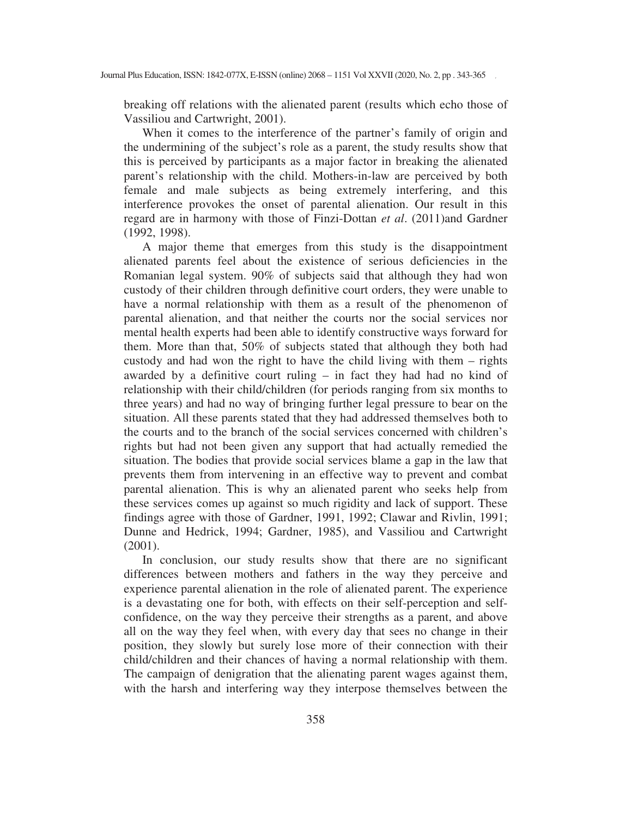breaking off relations with the alienated parent (results which echo those of Vassiliou and Cartwright, 2001).

When it comes to the interference of the partner's family of origin and the undermining of the subject's role as a parent, the study results show that this is perceived by participants as a major factor in breaking the alienated parent's relationship with the child. Mothers-in-law are perceived by both female and male subjects as being extremely interfering, and this interference provokes the onset of parental alienation. Our result in this regard are in harmony with those of Finzi-Dottan *et al*. (2011)and Gardner (1992, 1998).

A major theme that emerges from this study is the disappointment alienated parents feel about the existence of serious deficiencies in the Romanian legal system. 90% of subjects said that although they had won custody of their children through definitive court orders, they were unable to have a normal relationship with them as a result of the phenomenon of parental alienation, and that neither the courts nor the social services nor mental health experts had been able to identify constructive ways forward for them. More than that, 50% of subjects stated that although they both had custody and had won the right to have the child living with them – rights awarded by a definitive court ruling – in fact they had had no kind of relationship with their child/children (for periods ranging from six months to three years) and had no way of bringing further legal pressure to bear on the situation. All these parents stated that they had addressed themselves both to the courts and to the branch of the social services concerned with children's rights but had not been given any support that had actually remedied the situation. The bodies that provide social services blame a gap in the law that prevents them from intervening in an effective way to prevent and combat parental alienation. This is why an alienated parent who seeks help from these services comes up against so much rigidity and lack of support. These findings agree with those of Gardner, 1991, 1992; Clawar and Rivlin, 1991; Dunne and Hedrick, 1994; Gardner, 1985), and Vassiliou and Cartwright (2001).

In conclusion, our study results show that there are no significant differences between mothers and fathers in the way they perceive and experience parental alienation in the role of alienated parent. The experience is a devastating one for both, with effects on their self-perception and selfconfidence, on the way they perceive their strengths as a parent, and above all on the way they feel when, with every day that sees no change in their position, they slowly but surely lose more of their connection with their child/children and their chances of having a normal relationship with them. The campaign of denigration that the alienating parent wages against them, with the harsh and interfering way they interpose themselves between the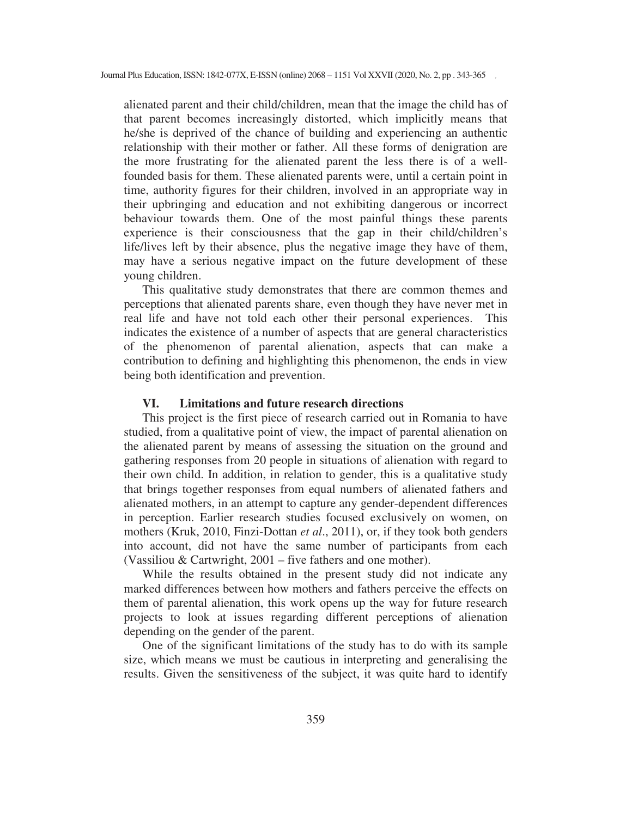alienated parent and their child/children, mean that the image the child has of that parent becomes increasingly distorted, which implicitly means that he/she is deprived of the chance of building and experiencing an authentic relationship with their mother or father. All these forms of denigration are the more frustrating for the alienated parent the less there is of a wellfounded basis for them. These alienated parents were, until a certain point in time, authority figures for their children, involved in an appropriate way in their upbringing and education and not exhibiting dangerous or incorrect behaviour towards them. One of the most painful things these parents experience is their consciousness that the gap in their child/children's life/lives left by their absence, plus the negative image they have of them, may have a serious negative impact on the future development of these young children.

This qualitative study demonstrates that there are common themes and perceptions that alienated parents share, even though they have never met in real life and have not told each other their personal experiences. This indicates the existence of a number of aspects that are general characteristics of the phenomenon of parental alienation, aspects that can make a contribution to defining and highlighting this phenomenon, the ends in view being both identification and prevention.

#### **VI. Limitations and future research directions**

This project is the first piece of research carried out in Romania to have studied, from a qualitative point of view, the impact of parental alienation on the alienated parent by means of assessing the situation on the ground and gathering responses from 20 people in situations of alienation with regard to their own child. In addition, in relation to gender, this is a qualitative study that brings together responses from equal numbers of alienated fathers and alienated mothers, in an attempt to capture any gender-dependent differences in perception. Earlier research studies focused exclusively on women, on mothers (Kruk, 2010, Finzi-Dottan *et al*., 2011), or, if they took both genders into account, did not have the same number of participants from each (Vassiliou & Cartwright, 2001 – five fathers and one mother).

While the results obtained in the present study did not indicate any marked differences between how mothers and fathers perceive the effects on them of parental alienation, this work opens up the way for future research projects to look at issues regarding different perceptions of alienation depending on the gender of the parent.

One of the significant limitations of the study has to do with its sample size, which means we must be cautious in interpreting and generalising the results. Given the sensitiveness of the subject, it was quite hard to identify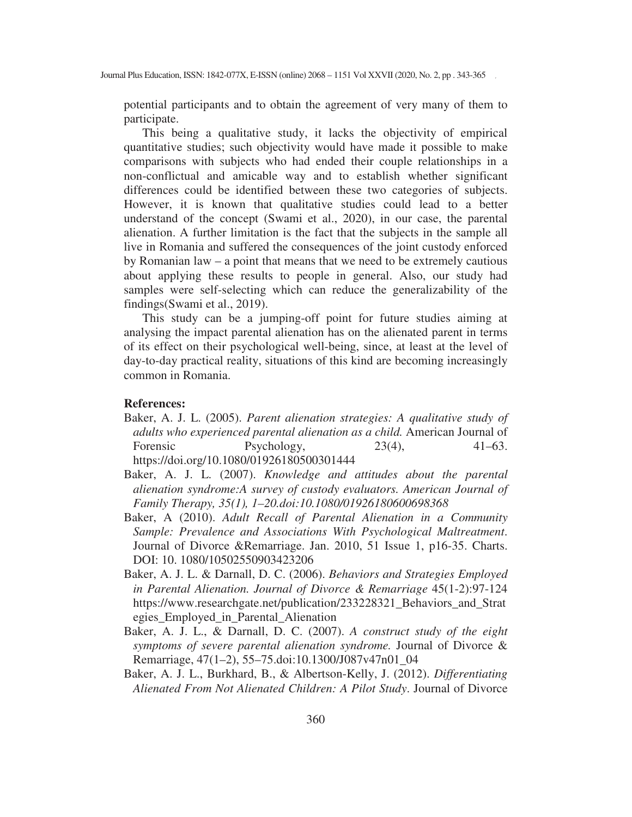potential participants and to obtain the agreement of very many of them to participate.

This being a qualitative study, it lacks the objectivity of empirical quantitative studies; such objectivity would have made it possible to make comparisons with subjects who had ended their couple relationships in a non-conflictual and amicable way and to establish whether significant differences could be identified between these two categories of subjects. However, it is known that qualitative studies could lead to a better understand of the concept (Swami et al., 2020), in our case, the parental alienation. A further limitation is the fact that the subjects in the sample all live in Romania and suffered the consequences of the joint custody enforced by Romanian law – a point that means that we need to be extremely cautious about applying these results to people in general. Also, our study had samples were self-selecting which can reduce the generalizability of the findings(Swami et al., 2019).

This study can be a jumping-off point for future studies aiming at analysing the impact parental alienation has on the alienated parent in terms of its effect on their psychological well-being, since, at least at the level of day-to-day practical reality, situations of this kind are becoming increasingly common in Romania.

#### **References:**

- Baker, A. J. L. (2005). *Parent alienation strategies: A qualitative study of adults who experienced parental alienation as a child.* American Journal of Forensic Psychology, 23(4), 41–63. https://doi.org/10.1080/01926180500301444
- Baker, A. J. L. (2007). *Knowledge and attitudes about the parental alienation syndrome:A survey of custody evaluators. American Journal of Family Therapy, 35(1), 1–20.doi:10.1080/01926180600698368*
- Baker, A (2010). *Adult Recall of Parental Alienation in a Community Sample: Prevalence and Associations With Psychological Maltreatment*. Journal of Divorce &Remarriage. Jan. 2010, 51 Issue 1, p16-35. Charts. DOI: 10. 1080/10502550903423206
- Baker, A. J. L. & Darnall, D. C. (2006). *Behaviors and Strategies Employed in Parental Alienation. Journal of Divorce & Remarriage* 45(1-2):97-124 https://www.researchgate.net/publication/233228321\_Behaviors\_and\_Strat egies\_Employed\_in\_Parental\_Alienation
- Baker, A. J. L., & Darnall, D. C. (2007). *A construct study of the eight symptoms of severe parental alienation syndrome.* Journal of Divorce & Remarriage, 47(1–2), 55–75.doi:10.1300/J087v47n01\_04
- Baker, A. J. L., Burkhard, B., & Albertson-Kelly, J. (2012). *Differentiating Alienated From Not Alienated Children: A Pilot Study*. Journal of Divorce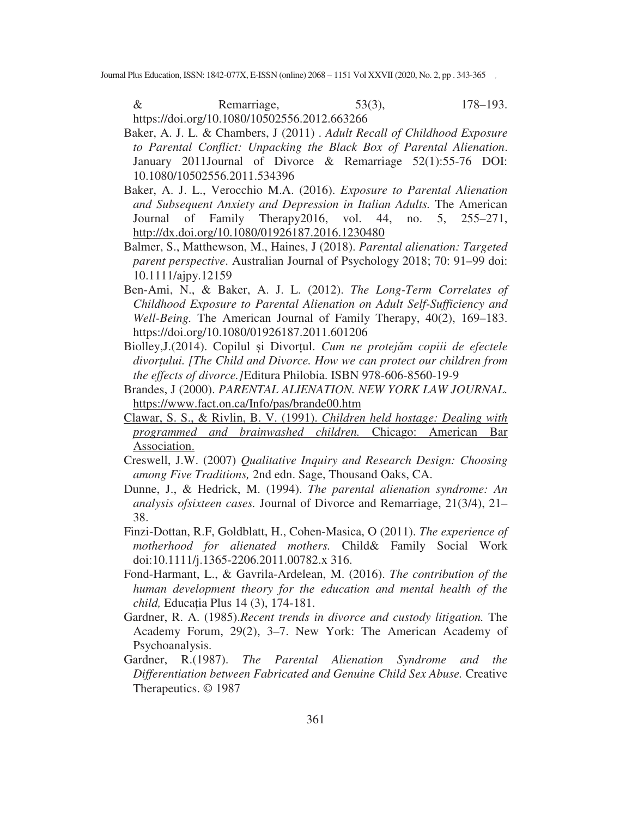& Remarriage, 53(3), 178–193. https://doi.org/10.1080/10502556.2012.663266

- Baker, A. J. L. & Chambers, J (2011) . *Adult Recall of Childhood Exposure to Parental Conflict: Unpacking the Black Box of Parental Alienation*. January 2011Journal of Divorce & Remarriage 52(1):55-76 DOI: 10.1080/10502556.2011.534396
- Baker, A. J. L., Verocchio M.A. (2016). *Exposure to Parental Alienation and Subsequent Anxiety and Depression in Italian Adults.* The American Journal of Family Therapy2016, vol. 44, no. 5, 255–271, http://dx.doi.org/10.1080/01926187.2016.1230480
- Balmer, S., Matthewson, M., Haines, J (2018). *Parental alienation: Targeted parent perspective*. Australian Journal of Psychology 2018; 70: 91–99 doi: 10.1111/ajpy.12159
- Ben-Ami, N., & Baker, A. J. L. (2012). *The Long-Term Correlates of Childhood Exposure to Parental Alienation on Adult Self-Sufficiency and Well-Being.* The American Journal of Family Therapy, 40(2), 169–183. https://doi.org/10.1080/01926187.2011.601206
- Biolley, J. (2014). Copilul și Divorțul. Cum ne protejăm copiii de efectele *divorului. [The Child and Divorce. How we can protect our children from the effects of divorce.]*Editura Philobia. ISBN 978-606-8560-19-9
- Brandes, J (2000). *PARENTAL ALIENATION. NEW YORK LAW JOURNAL.*  https://www.fact.on.ca/Info/pas/brande00.htm
- Clawar, S. S., & Rivlin, B. V. (1991). *Children held hostage: Dealing with programmed and brainwashed children.* Chicago: American Bar Association.
- Creswell, J.W. (2007) *Qualitative Inquiry and Research Design: Choosing among Five Traditions,* 2nd edn. Sage, Thousand Oaks, CA.
- Dunne, J., & Hedrick, M. (1994). *The parental alienation syndrome: An analysis ofsixteen cases.* Journal of Divorce and Remarriage, 21(3/4), 21– 38.
- Finzi-Dottan, R.F, Goldblatt, H., Cohen-Masica, O (2011). *The experience of motherhood for alienated mothers.* Child& Family Social Work doi:10.1111/j.1365-2206.2011.00782.x 316.
- Fond-Harmant, L., & Gavrila-Ardelean, M. (2016). *The contribution of the human development theory for the education and mental health of the child,* Educa ia Plus 14 (3), 174-181.
- Gardner, R. A. (1985).*Recent trends in divorce and custody litigation.* The Academy Forum, 29(2), 3–7. New York: The American Academy of Psychoanalysis.
- Gardner, R.(1987). *The Parental Alienation Syndrome and the Differentiation between Fabricated and Genuine Child Sex Abuse.* Creative Therapeutics. © 1987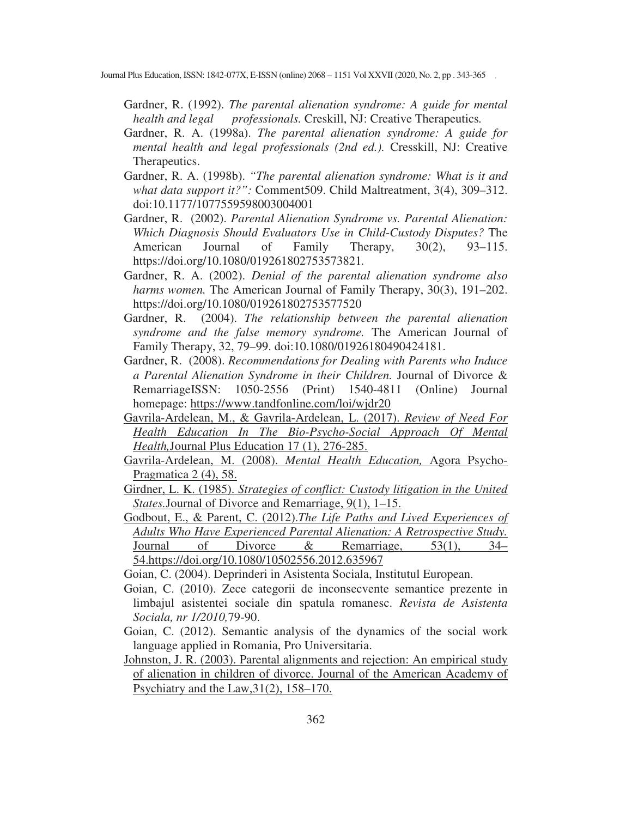Gardner, R. (1992). *The parental alienation syndrome: A guide for mental health and legal professionals.* Creskill, NJ: Creative Therapeutics*.* 

- Gardner, R. A. (1998a). *The parental alienation syndrome: A guide for mental health and legal professionals (2nd ed.).* Cresskill, NJ: Creative Therapeutics.
- Gardner, R. A. (1998b). *"The parental alienation syndrome: What is it and what data support it?":* Comment509. Child Maltreatment, 3(4), 309–312. doi:10.1177/1077559598003004001
- Gardner, R. (2002). *Parental Alienation Syndrome vs. Parental Alienation: Which Diagnosis Should Evaluators Use in Child-Custody Disputes?* The American Journal of Family Therapy, 30(2), 93–115. https://doi.org/10.1080/019261802753573821*.*
- Gardner, R. A. (2002). *Denial of the parental alienation syndrome also harms women.* The American Journal of Family Therapy, 30(3), 191–202. https://doi.org/10.1080/019261802753577520
- Gardner, R. (2004). *The relationship between the parental alienation syndrome and the false memory syndrome.* The American Journal of Family Therapy, 32, 79–99. doi:10.1080/01926180490424181.
- Gardner, R. (2008). *Recommendations for Dealing with Parents who Induce a Parental Alienation Syndrome in their Children.* Journal of Divorce & RemarriageISSN: 1050-2556 (Print) 1540-4811 (Online) Journal homepage: https://www.tandfonline.com/loi/wjdr20
- Gavrila-Ardelean, M., & Gavrila-Ardelean, L. (2017). *Review of Need For Health Education In The Bio-Psycho-Social Approach Of Mental Health,*Journal Plus Education 17 (1), 276-285.
- Gavrila-Ardelean, M. (2008). *Mental Health Education,* Agora Psycho-Pragmatica 2 (4), 58.
- Girdner, L. K. (1985). *Strategies of conflict: Custody litigation in the United States.*Journal of Divorce and Remarriage, 9(1), 1–15.
- Godbout, E., & Parent, C. (2012).*The Life Paths and Lived Experiences of Adults Who Have Experienced Parental Alienation: A Retrospective Study.*  Journal of Divorce & Remarriage, 53(1), 34– 54.https://doi.org/10.1080/10502556.2012.635967

Goian, C. (2004). Deprinderi in Asistenta Sociala, Institutul European.

- Goian, C. (2010). Zece categorii de inconsecvente semantice prezente in limbajul asistentei sociale din spatula romanesc. *Revista de Asistenta Sociala, nr 1/2010,*79-90.
- Goian, C. (2012). Semantic analysis of the dynamics of the social work language applied in Romania, Pro Universitaria.
- Johnston, J. R. (2003). Parental alignments and rejection: An empirical study of alienation in children of divorce. Journal of the American Academy of Psychiatry and the Law,31(2), 158–170.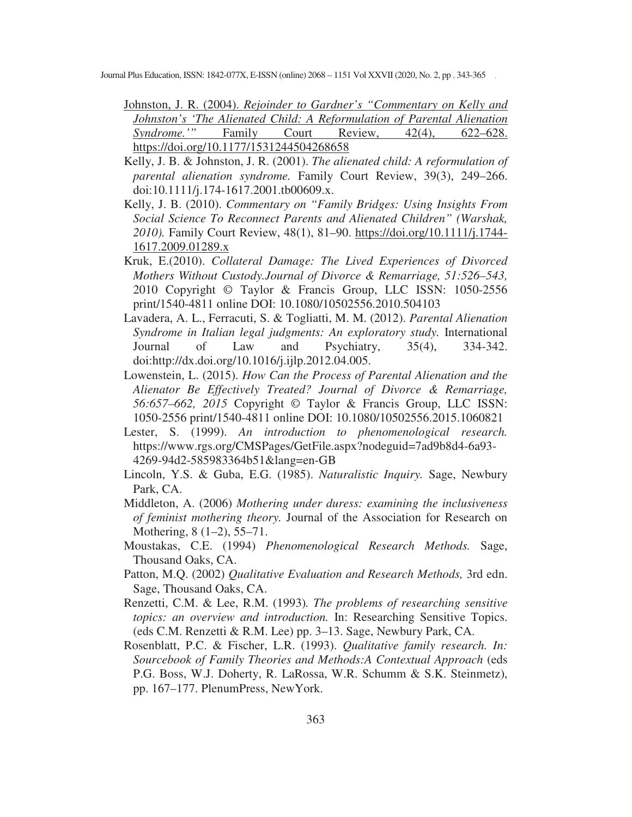- Johnston, J. R. (2004). *Rejoinder to Gardner's "Commentary on Kelly and Johnston's 'The Alienated Child: A Reformulation of Parental Alienation Syndrome.'"* Family Court Review, 42(4), 622–628. https://doi.org/10.1177/1531244504268658
- Kelly, J. B. & Johnston, J. R. (2001). *The alienated child: A reformulation of parental alienation syndrome.* Family Court Review, 39(3), 249–266. doi:10.1111/j.174-1617.2001.tb00609.x.
- Kelly, J. B. (2010). *Commentary on "Family Bridges: Using Insights From Social Science To Reconnect Parents and Alienated Children" (Warshak, 2010).* Family Court Review, 48(1), 81–90. https://doi.org/10.1111/j.1744- 1617.2009.01289.x
- Kruk, E.(2010). *Collateral Damage: The Lived Experiences of Divorced Mothers Without Custody.Journal of Divorce & Remarriage, 51:526–543,*  2010 Copyright © Taylor & Francis Group, LLC ISSN: 1050-2556 print/1540-4811 online DOI: 10.1080/10502556.2010.504103
- Lavadera, A. L., Ferracuti, S. & Togliatti, M. M. (2012). *Parental Alienation Syndrome in Italian legal judgments: An exploratory study.* International Journal of Law and Psychiatry, 35(4), 334-342. doi:http://dx.doi.org/10.1016/j.ijlp.2012.04.005.
- Lowenstein, L. (2015). *How Can the Process of Parental Alienation and the Alienator Be Effectively Treated? Journal of Divorce & Remarriage, 56:657–662, 2015* Copyright © Taylor & Francis Group, LLC ISSN: 1050-2556 print/1540-4811 online DOI: 10.1080/10502556.2015.1060821
- Lester, S. (1999). *An introduction to phenomenological research.*  https://www.rgs.org/CMSPages/GetFile.aspx?nodeguid=7ad9b8d4-6a93- 4269-94d2-585983364b51&lang=en-GB
- Lincoln, Y.S. & Guba, E.G. (1985). *Naturalistic Inquiry.* Sage, Newbury Park, CA.
- Middleton, A. (2006) *Mothering under duress: examining the inclusiveness of feminist mothering theory.* Journal of the Association for Research on Mothering, 8 (1–2), 55–71.
- Moustakas, C.E. (1994) *Phenomenological Research Methods.* Sage, Thousand Oaks, CA.
- Patton, M.Q. (2002) *Qualitative Evaluation and Research Methods,* 3rd edn. Sage, Thousand Oaks, CA.
- Renzetti, C.M. & Lee, R.M. (1993)*. The problems of researching sensitive topics: an overview and introduction.* In: Researching Sensitive Topics. (eds C.M. Renzetti & R.M. Lee) pp. 3–13. Sage, Newbury Park, CA.
- Rosenblatt, P.C. & Fischer, L.R. (1993). *Qualitative family research. In: Sourcebook of Family Theories and Methods:A Contextual Approach* (eds P.G. Boss, W.J. Doherty, R. LaRossa, W.R. Schumm & S.K. Steinmetz), pp. 167–177. PlenumPress, NewYork.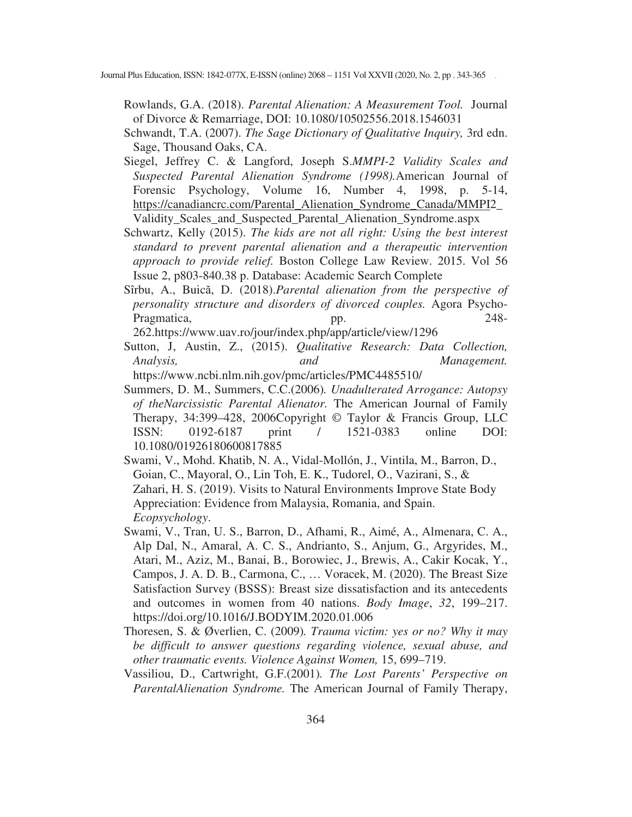Rowlands, G.A. (2018). *Parental Alienation: A Measurement Tool.* Journal of Divorce & Remarriage, DOI: 10.1080/10502556.2018.1546031

- Schwandt, T.A. (2007). *The Sage Dictionary of Qualitative Inquiry,* 3rd edn. Sage, Thousand Oaks, CA.
- Siegel, Jeffrey C. & Langford, Joseph S.*MMPI-2 Validity Scales and Suspected Parental Alienation Syndrome (1998).*American Journal of Forensic Psychology, Volume 16, Number 4, 1998, p. 5-14, https://canadiancrc.com/Parental\_Alienation\_Syndrome\_Canada/MMPI2\_ Validity\_Scales\_and\_Suspected\_Parental\_Alienation\_Syndrome.aspx
- Schwartz, Kelly (2015). *The kids are not all right: Using the best interest standard to prevent parental alienation and a therapeutic intervention approach to provide relief.* Boston College Law Review. 2015. Vol 56 Issue 2, p803-840.38 p. Database: Academic Search Complete
- Sîrbu, A., Buică, D. (2018).*Parental alienation from the perspective of personality structure and disorders of divorced couples.* Agora Psycho-Pragmatica, pp. 248-

262.https://www.uav.ro/jour/index.php/app/article/view/1296

- Sutton, J, Austin, Z., (2015). *Qualitative Research: Data Collection, Analysis, and Management.* https://www.ncbi.nlm.nih.gov/pmc/articles/PMC4485510/
- Summers, D. M., Summers, C.C.(2006)*. Unadulterated Arrogance: Autopsy of theNarcissistic Parental Alienator.* The American Journal of Family Therapy, 34:399–428, 2006Copyright © Taylor & Francis Group, LLC ISSN: 0192-6187 print / 1521-0383 online DOI: 10.1080/01926180600817885
- Swami, V., Mohd. Khatib, N. A., Vidal-Mollón, J., Vintila, M., Barron, D., Goian, C., Mayoral, O., Lin Toh, E. K., Tudorel, O., Vazirani, S., & Zahari, H. S. (2019). Visits to Natural Environments Improve State Body Appreciation: Evidence from Malaysia, Romania, and Spain. *Ecopsychology*.
- Swami, V., Tran, U. S., Barron, D., Afhami, R., Aimé, A., Almenara, C. A., Alp Dal, N., Amaral, A. C. S., Andrianto, S., Anjum, G., Argyrides, M., Atari, M., Aziz, M., Banai, B., Borowiec, J., Brewis, A., Cakir Kocak, Y., Campos, J. A. D. B., Carmona, C., … Voracek, M. (2020). The Breast Size Satisfaction Survey (BSSS): Breast size dissatisfaction and its antecedents and outcomes in women from 40 nations. *Body Image*, *32*, 199–217. https://doi.org/10.1016/J.BODYIM.2020.01.006
- Thoresen, S. & Øverlien, C. (2009)*. Trauma victim: yes or no? Why it may be difficult to answer questions regarding violence, sexual abuse, and other traumatic events. Violence Against Women,* 15, 699–719.
- Vassiliou, D., Cartwright, G.F.(2001)*. The Lost Parents' Perspective on ParentalAlienation Syndrome.* The American Journal of Family Therapy,